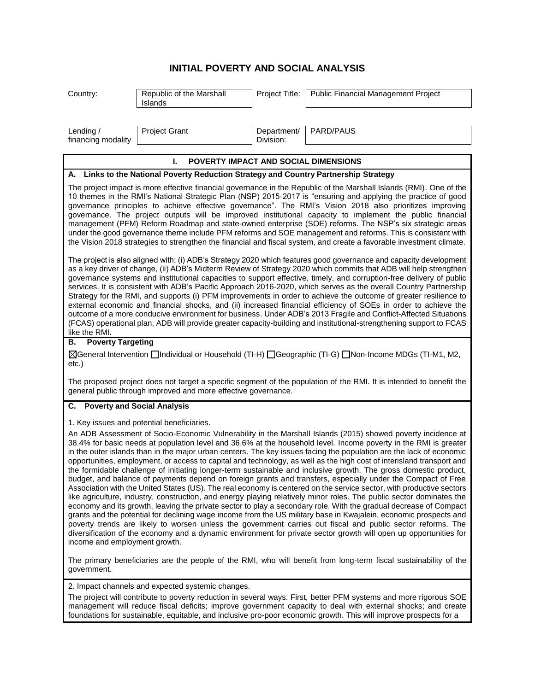## **INITIAL POVERTY AND SOCIAL ANALYSIS**

| Country:                                                                                                                                                                                                                                                                                                                                                                                                                                                                                                                                                                                                                                                                                                                                                                                                                                                                                                                                                                                                                                                                                                                                                                                                                                                                                                                                                                                                                                                                                                                          | Republic of the Marshall<br><b>Islands</b> | Project Title:           | Public Financial Management Project |  |
|-----------------------------------------------------------------------------------------------------------------------------------------------------------------------------------------------------------------------------------------------------------------------------------------------------------------------------------------------------------------------------------------------------------------------------------------------------------------------------------------------------------------------------------------------------------------------------------------------------------------------------------------------------------------------------------------------------------------------------------------------------------------------------------------------------------------------------------------------------------------------------------------------------------------------------------------------------------------------------------------------------------------------------------------------------------------------------------------------------------------------------------------------------------------------------------------------------------------------------------------------------------------------------------------------------------------------------------------------------------------------------------------------------------------------------------------------------------------------------------------------------------------------------------|--------------------------------------------|--------------------------|-------------------------------------|--|
|                                                                                                                                                                                                                                                                                                                                                                                                                                                                                                                                                                                                                                                                                                                                                                                                                                                                                                                                                                                                                                                                                                                                                                                                                                                                                                                                                                                                                                                                                                                                   |                                            |                          |                                     |  |
| Lending /<br>financing modality                                                                                                                                                                                                                                                                                                                                                                                                                                                                                                                                                                                                                                                                                                                                                                                                                                                                                                                                                                                                                                                                                                                                                                                                                                                                                                                                                                                                                                                                                                   | <b>Project Grant</b>                       | Department/<br>Division: | PARD/PAUS                           |  |
| L.<br>POVERTY IMPACT AND SOCIAL DIMENSIONS                                                                                                                                                                                                                                                                                                                                                                                                                                                                                                                                                                                                                                                                                                                                                                                                                                                                                                                                                                                                                                                                                                                                                                                                                                                                                                                                                                                                                                                                                        |                                            |                          |                                     |  |
| A. Links to the National Poverty Reduction Strategy and Country Partnership Strategy                                                                                                                                                                                                                                                                                                                                                                                                                                                                                                                                                                                                                                                                                                                                                                                                                                                                                                                                                                                                                                                                                                                                                                                                                                                                                                                                                                                                                                              |                                            |                          |                                     |  |
| The project impact is more effective financial governance in the Republic of the Marshall Islands (RMI). One of the<br>10 themes in the RMI's National Strategic Plan (NSP) 2015-2017 is "ensuring and applying the practice of good<br>governance principles to achieve effective governance". The RMI's Vision 2018 also prioritizes improving<br>governance. The project outputs will be improved institutional capacity to implement the public financial<br>management (PFM) Reform Roadmap and state-owned enterprise (SOE) reforms. The NSP's six strategic areas<br>under the good governance theme include PFM reforms and SOE management and reforms. This is consistent with<br>the Vision 2018 strategies to strengthen the financial and fiscal system, and create a favorable investment climate.                                                                                                                                                                                                                                                                                                                                                                                                                                                                                                                                                                                                                                                                                                                   |                                            |                          |                                     |  |
| The project is also aligned with: (i) ADB's Strategy 2020 which features good governance and capacity development<br>as a key driver of change, (ii) ADB's Midterm Review of Strategy 2020 which commits that ADB will help strengthen<br>governance systems and institutional capacities to support effective, timely, and corruption-free delivery of public<br>services. It is consistent with ADB's Pacific Approach 2016-2020, which serves as the overall Country Partnership<br>Strategy for the RMI, and supports (i) PFM improvements in order to achieve the outcome of greater resilience to<br>external economic and financial shocks, and (ii) increased financial efficiency of SOEs in order to achieve the<br>outcome of a more conducive environment for business. Under ADB's 2013 Fragile and Conflict-Affected Situations<br>(FCAS) operational plan, ADB will provide greater capacity-building and institutional-strengthening support to FCAS<br>like the RMI.                                                                                                                                                                                                                                                                                                                                                                                                                                                                                                                                             |                                            |                          |                                     |  |
| <b>Poverty Targeting</b><br>В.                                                                                                                                                                                                                                                                                                                                                                                                                                                                                                                                                                                                                                                                                                                                                                                                                                                                                                                                                                                                                                                                                                                                                                                                                                                                                                                                                                                                                                                                                                    |                                            |                          |                                     |  |
| [1-H) General Intervention individual or Household (TI-H) Eleographic (TI-G) Eleon-Income MDGs (TI-M1, M2,<br>$etc.$ )                                                                                                                                                                                                                                                                                                                                                                                                                                                                                                                                                                                                                                                                                                                                                                                                                                                                                                                                                                                                                                                                                                                                                                                                                                                                                                                                                                                                            |                                            |                          |                                     |  |
| The proposed project does not target a specific segment of the population of the RMI. It is intended to benefit the<br>general public through improved and more effective governance.                                                                                                                                                                                                                                                                                                                                                                                                                                                                                                                                                                                                                                                                                                                                                                                                                                                                                                                                                                                                                                                                                                                                                                                                                                                                                                                                             |                                            |                          |                                     |  |
| C. Poverty and Social Analysis                                                                                                                                                                                                                                                                                                                                                                                                                                                                                                                                                                                                                                                                                                                                                                                                                                                                                                                                                                                                                                                                                                                                                                                                                                                                                                                                                                                                                                                                                                    |                                            |                          |                                     |  |
| 1. Key issues and potential beneficiaries.<br>An ADB Assessment of Socio-Economic Vulnerability in the Marshall Islands (2015) showed poverty incidence at<br>38.4% for basic needs at population level and 36.6% at the household level. Income poverty in the RMI is greater<br>in the outer islands than in the major urban centers. The key issues facing the population are the lack of economic<br>opportunities, employment, or access to capital and technology, as well as the high cost of interisland transport and<br>the formidable challenge of initiating longer-term sustainable and inclusive growth. The gross domestic product,<br>budget, and balance of payments depend on foreign grants and transfers, especially under the Compact of Free<br>Association with the United States (US). The real economy is centered on the service sector, with productive sectors<br>like agriculture, industry, construction, and energy playing relatively minor roles. The public sector dominates the<br>economy and its growth, leaving the private sector to play a secondary role. With the gradual decrease of Compact<br>grants and the potential for declining wage income from the US military base in Kwajalein, economic prospects and<br>poverty trends are likely to worsen unless the government carries out fiscal and public sector reforms. The<br>diversification of the economy and a dynamic environment for private sector growth will open up opportunities for<br>income and employment growth. |                                            |                          |                                     |  |
| The primary beneficiaries are the people of the RMI, who will benefit from long-term fiscal sustainability of the<br>government.                                                                                                                                                                                                                                                                                                                                                                                                                                                                                                                                                                                                                                                                                                                                                                                                                                                                                                                                                                                                                                                                                                                                                                                                                                                                                                                                                                                                  |                                            |                          |                                     |  |
| 2. Impact channels and expected systemic changes.                                                                                                                                                                                                                                                                                                                                                                                                                                                                                                                                                                                                                                                                                                                                                                                                                                                                                                                                                                                                                                                                                                                                                                                                                                                                                                                                                                                                                                                                                 |                                            |                          |                                     |  |
| The project will contribute to poverty reduction in several ways. First, better PFM systems and more rigorous SOE<br>management will reduce fiscal deficits; improve government capacity to deal with external shocks; and create<br>foundations for sustainable, equitable, and inclusive pro-poor economic growth. This will improve prospects for a                                                                                                                                                                                                                                                                                                                                                                                                                                                                                                                                                                                                                                                                                                                                                                                                                                                                                                                                                                                                                                                                                                                                                                            |                                            |                          |                                     |  |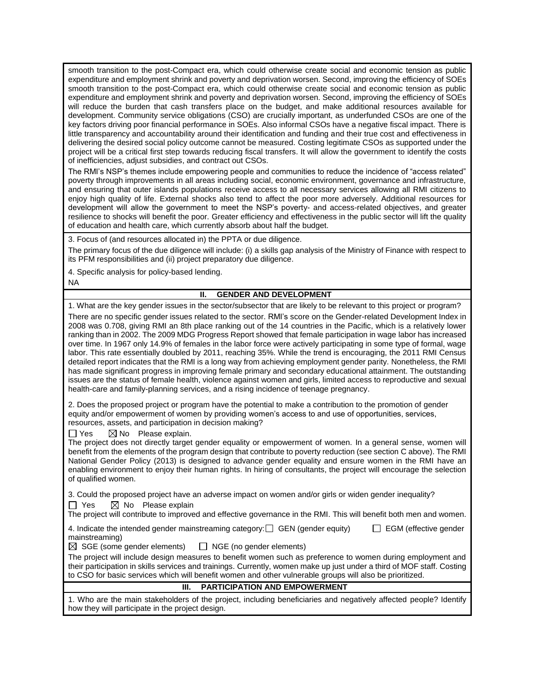smooth transition to the post-Compact era, which could otherwise create social and economic tension as public expenditure and employment shrink and poverty and deprivation worsen. Second, improving the efficiency of SOEs smooth transition to the post-Compact era, which could otherwise create social and economic tension as public expenditure and employment shrink and poverty and deprivation worsen. Second, improving the efficiency of SOEs will reduce the burden that cash transfers place on the budget, and make additional resources available for development. Community service obligations (CSO) are crucially important, as underfunded CSOs are one of the key factors driving poor financial performance in SOEs. Also informal CSOs have a negative fiscal impact. There is little transparency and accountability around their identification and funding and their true cost and effectiveness in delivering the desired social policy outcome cannot be measured. Costing legitimate CSOs as supported under the project will be a critical first step towards reducing fiscal transfers. It will allow the government to identify the costs of inefficiencies, adjust subsidies, and contract out CSOs.

The RMI's NSP's themes include empowering people and communities to reduce the incidence of "access related" poverty through improvements in all areas including social, economic environment, governance and infrastructure, and ensuring that outer islands populations receive access to all necessary services allowing all RMI citizens to enjoy high quality of life. External shocks also tend to affect the poor more adversely. Additional resources for development will allow the government to meet the NSP's poverty- and access-related objectives, and greater resilience to shocks will benefit the poor. Greater efficiency and effectiveness in the public sector will lift the quality of education and health care, which currently absorb about half the budget.

3. Focus of (and resources allocated in) the PPTA or due diligence.

The primary focus of the due diligence will include: (i) a skills gap analysis of the Ministry of Finance with respect to its PFM responsibilities and (ii) project preparatory due diligence.

4. Specific analysis for policy-based lending.

NA

## **II. GENDER AND DEVELOPMENT**

1. What are the key gender issues in the sector/subsector that are likely to be relevant to this project or program? There are no specific gender issues related to the sector. RMI's score on the Gender-related Development Index in 2008 was 0.708, giving RMI an 8th place ranking out of the 14 countries in the Pacific, which is a relatively lower ranking than in 2002. The 2009 MDG Progress Report showed that female participation in wage labor has increased over time. In 1967 only 14.9% of females in the labor force were actively participating in some type of formal, wage labor. This rate essentially doubled by 2011, reaching 35%. While the trend is encouraging, the 2011 RMI Census detailed report indicates that the RMI is a long way from achieving employment gender parity. Nonetheless, the RMI has made significant progress in improving female primary and secondary educational attainment. The outstanding issues are the status of female health, violence against women and girls, limited access to reproductive and sexual health-care and family-planning services, and a rising incidence of teenage pregnancy.

2. Does the proposed project or program have the potential to make a contribution to the promotion of gender equity and/or empowerment of women by providing women's access to and use of opportunities, services, resources, assets, and participation in decision making?

 $\Box$  Yes  $\Box$  No Please explain.

The project does not directly target gender equality or empowerment of women. In a general sense, women will benefit from the elements of the program design that contribute to poverty reduction (see section C above). The RMI National Gender Policy (2013) is designed to advance gender equality and ensure women in the RMI have an enabling environment to enjoy their human rights. In hiring of consultants, the project will encourage the selection of qualified women.

3. Could the proposed project have an adverse impact on women and/or girls or widen gender inequality?

 $\Box$  Yes  $\boxtimes$  No Please explain

The project will contribute to improved and effective governance in the RMI. This will benefit both men and women.

4. Indicate the intended gender mainstreaming category: GEN (gender equity) GEM (effective gender mainstreaming)

 $\boxtimes$  SGE (some gender elements)  $\Box$  NGE (no gender elements)

The project will include design measures to benefit women such as preference to women during employment and their participation in skills services and trainings. Currently, women make up just under a third of MOF staff. Costing to CSO for basic services which will benefit women and other vulnerable groups will also be prioritized.

## **III. PARTICIPATION AND EMPOWERMENT**

1. Who are the main stakeholders of the project, including beneficiaries and negatively affected people? Identify how they will participate in the project design.